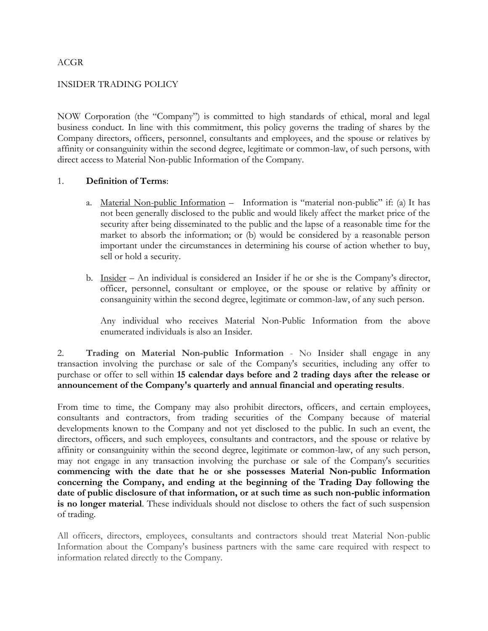## ACGR

## INSIDER TRADING POLICY

NOW Corporation (the "Company") is committed to high standards of ethical, moral and legal business conduct. In line with this commitment, this policy governs the trading of shares by the Company directors, officers, personnel, consultants and employees, and the spouse or relatives by affinity or consanguinity within the second degree, legitimate or common-law, of such persons, with direct access to Material Non-public Information of the Company.

## 1. **Definition of Terms**:

- a. Material Non-public Information Information is "material non-public" if: (a) It has not been generally disclosed to the public and would likely affect the market price of the security after being disseminated to the public and the lapse of a reasonable time for the market to absorb the information; or (b) would be considered by a reasonable person important under the circumstances in determining his course of action whether to buy, sell or hold a security.
- b. Insider An individual is considered an Insider if he or she is the Company's director, officer, personnel, consultant or employee, or the spouse or relative by affinity or consanguinity within the second degree, legitimate or common-law, of any such person.

Any individual who receives Material Non-Public Information from the above enumerated individuals is also an Insider.

2. **Trading on Material Non-public Information** - No Insider shall engage in any transaction involving the purchase or sale of the Company's securities, including any offer to purchase or offer to sell within **15 calendar days before and 2 trading days after the release or announcement of the Company's quarterly and annual financial and operating results**.

From time to time, the Company may also prohibit directors, officers, and certain employees, consultants and contractors, from trading securities of the Company because of material developments known to the Company and not yet disclosed to the public. In such an event, the directors, officers, and such employees, consultants and contractors, and the spouse or relative by affinity or consanguinity within the second degree, legitimate or common-law, of any such person, may not engage in any transaction involving the purchase or sale of the Company's securities **commencing with the date that he or she possesses Material Non-public Information concerning the Company, and ending at the beginning of the Trading Day following the date of public disclosure of that information, or at such time as such non-public information is no longer material**. These individuals should not disclose to others the fact of such suspension of trading.

All officers, directors, employees, consultants and contractors should treat Material Non-public Information about the Company's business partners with the same care required with respect to information related directly to the Company.